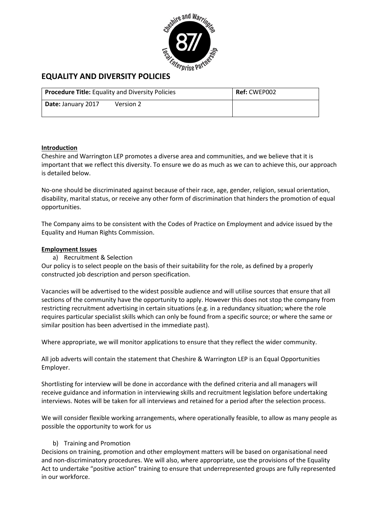

# **EQUALITY AND DIVERSITY POLICIES**

| <b>Procedure Title:</b> Equality and Diversity Policies |           | <b>Ref: CWEP002</b> |
|---------------------------------------------------------|-----------|---------------------|
| <b>Date: January 2017</b>                               | Version 2 |                     |

#### **Introduction**

Cheshire and Warrington LEP promotes a diverse area and communities, and we believe that it is important that we reflect this diversity. To ensure we do as much as we can to achieve this, our approach is detailed below.

No-one should be discriminated against because of their race, age, gender, religion, sexual orientation, disability, marital status, or receive any other form of discrimination that hinders the promotion of equal opportunities.

The Company aims to be consistent with the Codes of Practice on Employment and advice issued by the Equality and Human Rights Commission.

#### **Employment Issues**

a) Recruitment & Selection

Our policy is to select people on the basis of their suitability for the role, as defined by a properly constructed job description and person specification.

Vacancies will be advertised to the widest possible audience and will utilise sources that ensure that all sections of the community have the opportunity to apply. However this does not stop the company from restricting recruitment advertising in certain situations (e.g. in a redundancy situation; where the role requires particular specialist skills which can only be found from a specific source; or where the same or similar position has been advertised in the immediate past).

Where appropriate, we will monitor applications to ensure that they reflect the wider community.

All job adverts will contain the statement that Cheshire & Warrington LEP is an Equal Opportunities Employer.

Shortlisting for interview will be done in accordance with the defined criteria and all managers will receive guidance and information in interviewing skills and recruitment legislation before undertaking interviews. Notes will be taken for all interviews and retained for a period after the selection process.

We will consider flexible working arrangements, where operationally feasible, to allow as many people as possible the opportunity to work for us

### b) Training and Promotion

Decisions on training, promotion and other employment matters will be based on organisational need and non-discriminatory procedures. We will also, where appropriate, use the provisions of the Equality Act to undertake "positive action" training to ensure that underrepresented groups are fully represented in our workforce.